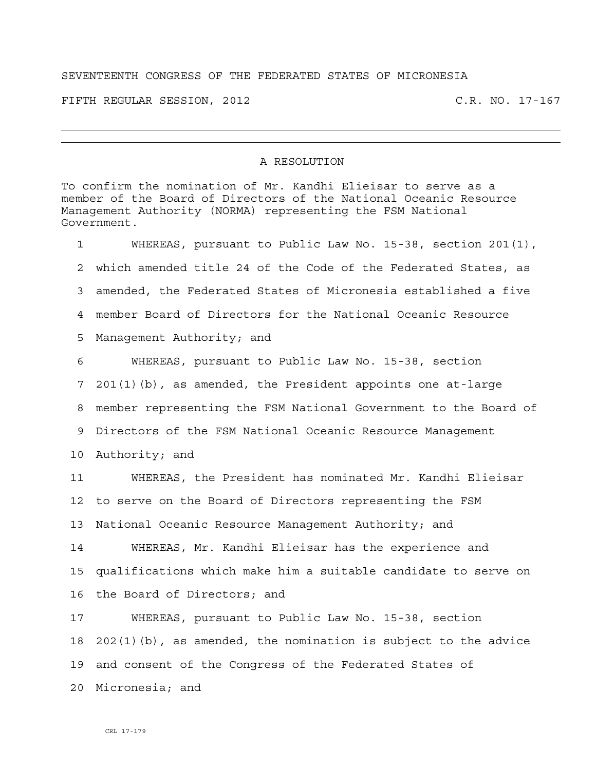## SEVENTEENTH CONGRESS OF THE FEDERATED STATES OF MICRONESIA

FIFTH REGULAR SESSION, 2012 C.R. NO. 17-167

## A RESOLUTION

To confirm the nomination of Mr. Kandhi Elieisar to serve as a member of the Board of Directors of the National Oceanic Resource Management Authority (NORMA) representing the FSM National Government.

1 WHEREAS, pursuant to Public Law No. 15-38, section 201(1), 2 which amended title 24 of the Code of the Federated States, as 3 amended, the Federated States of Micronesia established a five 4 member Board of Directors for the National Oceanic Resource 5 Management Authority; and 6 WHEREAS, pursuant to Public Law No. 15-38, section 7 201(1)(b), as amended, the President appoints one at-large

8 member representing the FSM National Government to the Board of

9 Directors of the FSM National Oceanic Resource Management

10 Authority; and

11 WHEREAS, the President has nominated Mr. Kandhi Elieisar 12 to serve on the Board of Directors representing the FSM 13 National Oceanic Resource Management Authority; and

14 WHEREAS, Mr. Kandhi Elieisar has the experience and 15 qualifications which make him a suitable candidate to serve on 16 the Board of Directors; and

17 WHEREAS, pursuant to Public Law No. 15-38, section 18 202(1)(b), as amended, the nomination is subject to the advice 19 and consent of the Congress of the Federated States of 20 Micronesia; and